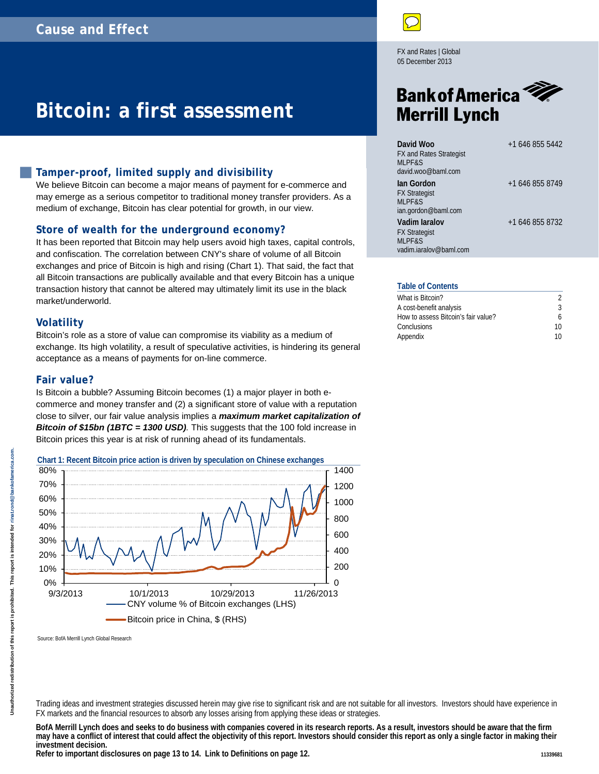# **Bitcoin: a first assessment**

#### **Tamper-proof, limited supply and divisibility**

We believe Bitcoin can become a major means of payment for e-commerce and may emerge as a serious competitor to traditional money transfer providers. As a medium of exchange, Bitcoin has clear potential for growth, in our view.

#### **Store of wealth for the underground economy?**

It has been reported that Bitcoin may help users avoid high taxes, capital controls, and confiscation. The correlation between CNY's share of volume of all Bitcoin exchanges and price of Bitcoin is high and rising [\(Chart 1\)](#page-0-0). That said, the fact that all Bitcoin transactions are publically available and that every Bitcoin has a unique transaction history that cannot be altered may ultimately limit its use in the black market/underworld.

#### **Volatility**

Bitcoin's role as a store of value can compromise its viability as a medium of exchange. Its high volatility, a result of speculative activities, is hindering its general acceptance as a means of payments for on-line commerce.

#### **Fair value?**

Is Bitcoin a bubble? Assuming Bitcoin becomes (1) a major player in both ecommerce and money transfer and (2) a significant store of value with a reputation close to silver, our fair value analysis implies a *maximum market capitalization of Bitcoin of \$15bn (1BTC = 1300 USD).* This suggests that the 100 fold increase in Bitcoin prices this year is at risk of running ahead of its fundamentals.

<span id="page-0-0"></span>

Source: BofA Merrill Lynch Global Research

Trading ideas and investment strategies discussed herein may give rise to significant risk and are not suitable for all investors. Investors should have experience in FX markets and the financial resources to absorb any losses arising from applying these ideas or strategies.

**BofA Merrill Lynch does and seeks to do business with companies covered in its research reports. As a result, investors should be aware that the firm may have a conflict of interest that could affect the objectivity of this report. Investors should consider this report as only a single factor in making their investment decision.**

Refer to important disclosures on page 13 to 14. Link to Definitions on page 12.

FX and Rates | Global 05 December 2013

# **Bank of America Merrill Lynch**

| David Woo<br><b>FX and Rates Strategist</b><br><b>MLPF&amp;S</b><br>david.woo@baml.com | $+16468555442$  |
|----------------------------------------------------------------------------------------|-----------------|
| lan Gordon<br><b>FX Strategist</b><br><b>MLPF&amp;S</b><br>ian.gordon@baml.com         | +1 646 855 8749 |
| Vadim Jaralov<br><b>FX Strategist</b><br>MLPF&S<br>vadim.jaralov@baml.com              | +1 646 855 8732 |

#### **Table of Contents**

| What is Bitcoin?                    |    |
|-------------------------------------|----|
| A cost-benefit analysis             | Κ  |
| How to assess Bitcoin's fair value? | 6  |
| Conclusions                         | 10 |
| Appendix                            | 10 |
|                                     |    |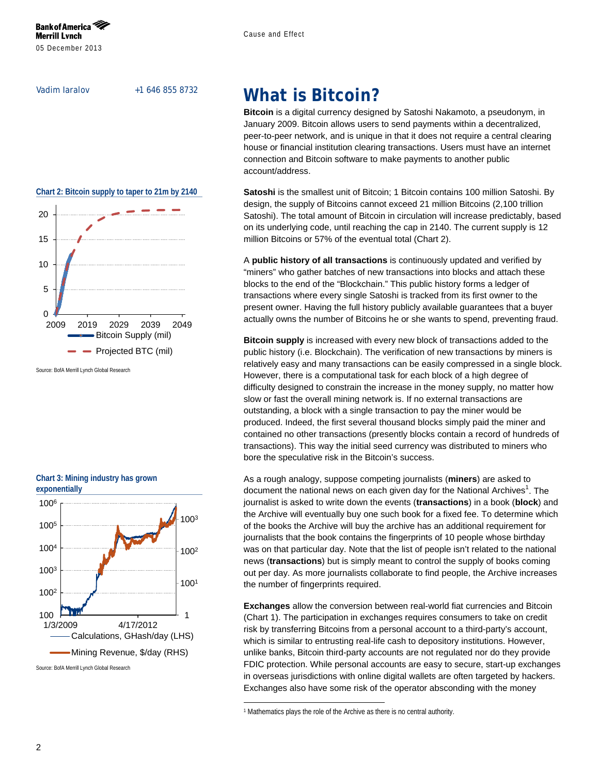Vadim Iaralov +1 646 855 8732

<span id="page-1-1"></span>

Source: BofA Merrill Lynch Global Research

<span id="page-1-2"></span>**Chart 3: Mining industry has grown**



Source: BofA Merrill Lynch Global Research

### <span id="page-1-0"></span>**What is Bitcoin?**

**Bitcoin** is a digital currency designed by Satoshi Nakamoto, a pseudonym, in January 2009. Bitcoin allows users to send payments within a decentralized, peer-to-peer network, and is unique in that it does not require a central clearing house or financial institution clearing transactions. Users must have an internet connection and Bitcoin software to make payments to another public account/address.

**Satoshi** is the smallest unit of Bitcoin; 1 Bitcoin contains 100 million Satoshi. By design, the supply of Bitcoins cannot exceed 21 million Bitcoins (2,100 trillion Satoshi). The total amount of Bitcoin in circulation will increase predictably, based on its underlying code, until reaching the cap in 2140. The current supply is 12 million Bitcoins or 57% of the eventual total [\(Chart 2\)](#page-1-1).

A **public history of all transactions** is continuously updated and verified by "miners" who gather batches of new transactions into blocks and attach these blocks to the end of the "Blockchain." This public history forms a ledger of transactions where every single Satoshi is tracked from its first owner to the present owner. Having the full history publicly available guarantees that a buyer actually owns the number of Bitcoins he or she wants to spend, preventing fraud.

**Bitcoin supply** is increased with every new block of transactions added to the public history (i.e. Blockchain). The verification of new transactions by miners is relatively easy and many transactions can be easily compressed in a single block. However, there is a computational task for each block of a high degree of difficulty designed to constrain the increase in the money supply, no matter how slow or fast the overall mining network is. If no external transactions are outstanding, a block with a single transaction to pay the miner would be produced. Indeed, the first several thousand blocks simply paid the miner and contained no other transactions (presently blocks contain a record of hundreds of transactions). This way the initial seed currency was distributed to miners who bore the speculative risk in the Bitcoin's success.

As a rough analogy, suppose competing journalists (**miners**) are asked to document the national news on each given day for the National Archives<sup>1</sup>. The journalist is asked to write down the events (**transactions**) in a book (**block**) and the Archive will eventually buy one such book for a fixed fee. To determine which of the books the Archive will buy the archive has an additional requirement for journalists that the book contains the fingerprints of 10 people whose birthday was on that particular day. Note that the list of people isn't related to the national news (**transactions**) but is simply meant to control the supply of books coming out per day. As more journalists collaborate to find people, the Archive increases the number of fingerprints required.

**Exchanges** allow the conversion between real-world fiat currencies and Bitcoin [\(Chart 1\)](#page-0-0). The participation in exchanges requires consumers to take on credit risk by transferring Bitcoins from a personal account to a third-party's account, which is similar to entrusting real-life cash to depository institutions. However, unlike banks, Bitcoin third-party accounts are not regulated nor do they provide FDIC protection. While personal accounts are easy to secure, start-up exchanges in overseas jurisdictions with online digital wallets are often targeted by hackers. Exchanges also have some risk of the operator absconding with the money

j

<sup>1</sup> Mathematics plays the role of the Archive as there is no central authority.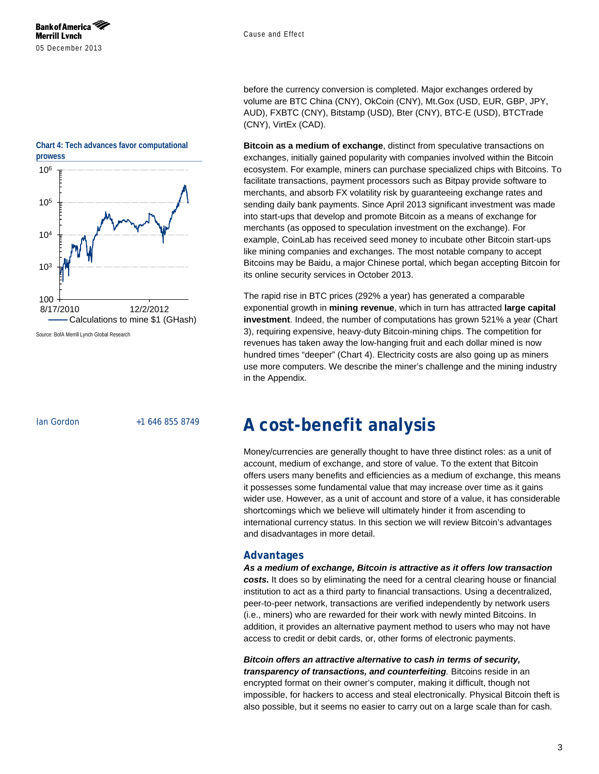before the currency conversion is completed. Major exchanges ordered by volume are BTC China (CNY), OkCoin (CNY), Mt.Gox (USD, EUR, GBP, JPY, AUD), FXBTC (CNY), Bitstamp (USD), Bter (CNY), BTC-E (USD), BTCTrade (CNY), VirtEx (CAD).

**Bitcoin as a medium of exchange**, distinct from speculative transactions on exchanges, initially gained popularity with companies involved within the Bitcoin ecosystem. For example, miners can purchase specialized chips with Bitcoins. To facilitate transactions, payment processors such as Bitpay provide software to merchants, and absorb FX volatility risk by guaranteeing exchange rates and sending daily bank payments. Since April 2013 significant investment was made into start-ups that develop and promote Bitcoin as a means of exchange for merchants (as opposed to speculation investment on the exchange). For example, CoinLab has received seed money to incubate other Bitcoin start-ups like mining companies and exchanges. The most notable company to accept Bitcoins may be Baidu, a major Chinese portal, which began accepting Bitcoin for its online security services in October 2013.

The rapid rise in BTC prices (292% a year) has generated a comparable exponential growth in **mining revenue**, which in turn has attracted **large capital investment**. Indeed, the number of computations has grown 521% a year [\(Chart](#page-1-2)  [3\)](#page-1-2), requiring expensive, heavy-duty Bitcoin-mining chips. The competition for revenues has taken away the low-hanging fruit and each dollar mined is now hundred times "deeper" [\(Chart 4\)](#page-2-1). Electricity costs are also going up as miners use more computers. We describe the miner's challenge and the mining industry in the Appendix.

Ian Gordon +1 646 855 8749

### <span id="page-2-0"></span>**A cost-benefit analysis**

Money/currencies are generally thought to have three distinct roles: as a unit of account, medium of exchange, and store of value. To the extent that Bitcoin offers users many benefits and efficiencies as a medium of exchange, this means it possesses some fundamental value that may increase over time as it gains wider use. However, as a unit of account and store of a value, it has considerable shortcomings which we believe will ultimately hinder it from ascending to international currency status. In this section we will review Bitcoin's advantages and disadvantages in more detail.

#### **Advantages**

*As a medium of exchange, Bitcoin is attractive as it offers low transaction costs.* It does so by eliminating the need for a central clearing house or financial institution to act as a third party to financial transactions. Using a decentralized, peer-to-peer network, transactions are verified independently by network users (i.e., miners) who are rewarded for their work with newly minted Bitcoins. In addition, it provides an alternative payment method to users who may not have access to credit or debit cards, or, other forms of electronic payments.

*Bitcoin offers an attractive alternative to cash in terms of security,* 

*transparency of transactions, and counterfeiting.* Bitcoins reside in an encrypted format on their owner's computer, making it difficult, though not impossible, for hackers to access and steal electronically. Physical Bitcoin theft is also possible, but it seems no easier to carry out on a large scale than for cash.



<span id="page-2-1"></span>**Chart 4: Tech advances favor computational**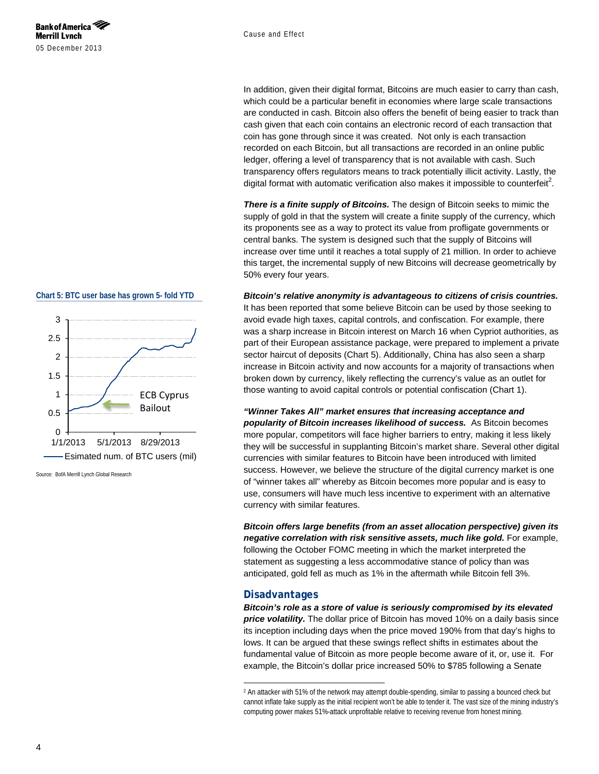#### Cause and Effect

In addition, given their digital format, Bitcoins are much easier to carry than cash, which could be a particular benefit in economies where large scale transactions are conducted in cash. Bitcoin also offers the benefit of being easier to track than cash given that each coin contains an electronic record of each transaction that coin has gone through since it was created. Not only is each transaction recorded on each Bitcoin, but all transactions are recorded in an online public ledger, offering a level of transparency that is not available with cash. Such transparency offers regulators means to track potentially illicit activity. Lastly, the digital format with automatic verification also makes it impossible to counterfeit<sup>2</sup>.

*There is a finite supply of Bitcoins.* The design of Bitcoin seeks to mimic the supply of gold in that the system will create a finite supply of the currency, which its proponents see as a way to protect its value from profligate governments or central banks. The system is designed such that the supply of Bitcoins will increase over time until it reaches a total supply of 21 million. In order to achieve this target, the incremental supply of new Bitcoins will decrease geometrically by 50% every four years.

*Bitcoin's relative anonymity is advantageous to citizens of crisis countries.* It has been reported that some believe Bitcoin can be used by those seeking to avoid evade high taxes, capital controls, and confiscation. For example, there was a sharp increase in Bitcoin interest on March 16 when Cypriot authorities, as part of their European assistance package, were prepared to implement a private sector haircut of deposits [\(Chart 5\)](#page-3-0). Additionally, China has also seen a sharp increase in Bitcoin activity and now accounts for a majority of transactions when broken down by currency, likely reflecting the currency's value as an outlet for those wanting to avoid capital controls or potential confiscation (Chart 1).

*"Winner Takes All" market ensures that increasing acceptance and popularity of Bitcoin increases likelihood of success.* As Bitcoin becomes more popular, competitors will face higher barriers to entry, making it less likely they will be successful in supplanting Bitcoin's market share. Several other digital currencies with similar features to Bitcoin have been introduced with limited success. However, we believe the structure of the digital currency market is one of "winner takes all" whereby as Bitcoin becomes more popular and is easy to use, consumers will have much less incentive to experiment with an alternative currency with similar features.

*Bitcoin offers large benefits (from an asset allocation perspective) given its negative correlation with risk sensitive assets, much like gold.* For example, following the October FOMC meeting in which the market interpreted the statement as suggesting a less accommodative stance of policy than was anticipated, gold fell as much as 1% in the aftermath while Bitcoin fell 3%.

#### **Disadvantages**

j

*Bitcoin's role as a store of value is seriously compromised by its elevated price volatility.* The dollar price of Bitcoin has moved 10% on a daily basis since its inception including days when the price moved 190% from that day's highs to lows. It can be argued that these swings reflect shifts in estimates about the fundamental value of Bitcoin as more people become aware of it, or, use it. For example, the Bitcoin's dollar price increased 50% to \$785 following a Senate

#### <span id="page-3-0"></span>**Chart 5: BTC user base has grown 5- fold YTD**



Source: BofA Merrill Lynch Global Research

<sup>2</sup> An attacker with 51% of the network may attempt double-spending, similar to passing a bounced check but cannot inflate fake supply as the initial recipient won't be able to tender it. The vast size of the mining industry's computing power makes 51%-attack unprofitable relative to receiving revenue from honest mining.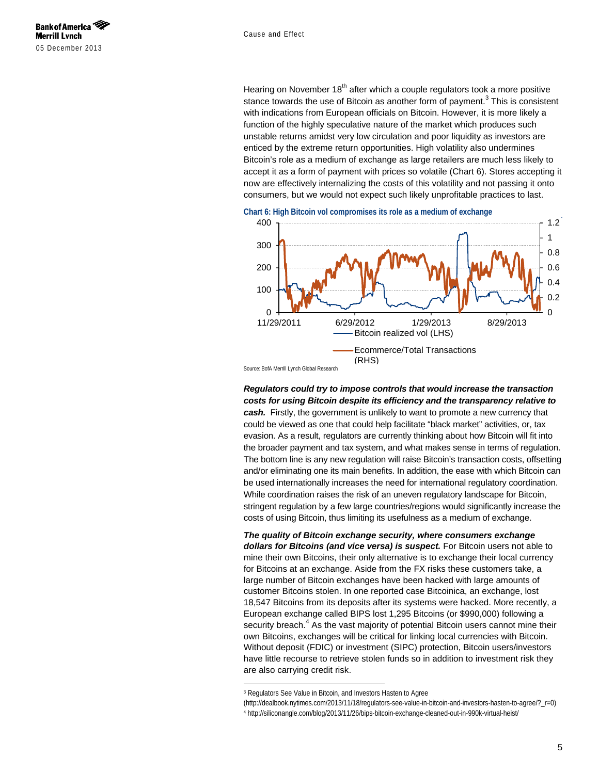Hearing on November  $18<sup>th</sup>$  after which a couple regulators took a more positive stance towards the use of Bitcoin as another form of payment. $3$  This is consistent with indications from European officials on Bitcoin. However, it is more likely a function of the highly speculative nature of the market which produces such unstable returns amidst very low circulation and poor liquidity as investors are enticed by the extreme return opportunities. High volatility also undermines Bitcoin's role as a medium of exchange as large retailers are much less likely to accept it as a form of payment with prices so volatile [\(Chart 6\)](#page-4-0). Stores accepting it now are effectively internalizing the costs of this volatility and not passing it onto consumers, but we would not expect such likely unprofitable practices to last.

<span id="page-4-0"></span>



Source: BofA Merrill Lynch Global Research

*Regulators could try to impose controls that would increase the transaction costs for using Bitcoin despite its efficiency and the transparency relative to cash.* Firstly, the government is unlikely to want to promote a new currency that could be viewed as one that could help facilitate "black market" activities, or, tax evasion. As a result, regulators are currently thinking about how Bitcoin will fit into the broader payment and tax system, and what makes sense in terms of regulation. The bottom line is any new regulation will raise Bitcoin's transaction costs, offsetting and/or eliminating one its main benefits. In addition, the ease with which Bitcoin can be used internationally increases the need for international regulatory coordination. While coordination raises the risk of an uneven regulatory landscape for Bitcoin, stringent regulation by a few large countries/regions would significantly increase the costs of using Bitcoin, thus limiting its usefulness as a medium of exchange.

*The quality of Bitcoin exchange security, where consumers exchange*  dollars for Bitcoins (and vice versa) is suspect. For Bitcoin users not able to mine their own Bitcoins, their only alternative is to exchange their local currency for Bitcoins at an exchange. Aside from the FX risks these customers take, a large number of Bitcoin exchanges have been hacked with large amounts of customer Bitcoins stolen. In one reported case Bitcoinica, an exchange, lost 18,547 Bitcoins from its deposits after its systems were hacked. More recently, a European exchange called BIPS lost 1,295 Bitcoins (or \$990,000) following a security breach. $4$  As the vast majority of potential Bitcoin users cannot mine their own Bitcoins, exchanges will be critical for linking local currencies with Bitcoin. Without deposit (FDIC) or investment (SIPC) protection, Bitcoin users/investors have little recourse to retrieve stolen funds so in addition to investment risk they are also carrying credit risk.

j

<sup>3</sup> Regulators See Value in Bitcoin, and Investors Hasten to Agree

<sup>(</sup>http://dealbook.nytimes.com/2013/11/18/regulators-see-value-in-bitcoin-and-investors-hasten-to-agree/?\_r=0)

<sup>4</sup> http://siliconangle.com/blog/2013/11/26/bips-bitcoin-exchange-cleaned-out-in-990k-virtual-heist/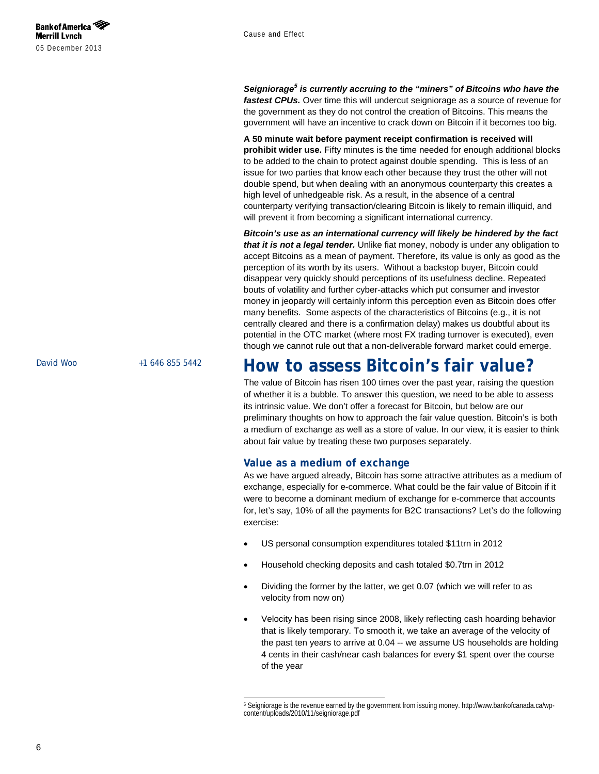*Seigniorage<sup>5</sup> is currently accruing to the "miners" of Bitcoins who have the fastest CPUs.* Over time this will undercut seigniorage as a source of revenue for the government as they do not control the creation of Bitcoins. This means the government will have an incentive to crack down on Bitcoin if it becomes too big.

**A 50 minute wait before payment receipt confirmation is received will prohibit wider use.** Fifty minutes is the time needed for enough additional blocks to be added to the chain to protect against double spending. This is less of an issue for two parties that know each other because they trust the other will not double spend, but when dealing with an anonymous counterparty this creates a high level of unhedgeable risk. As a result, in the absence of a central counterparty verifying transaction/clearing Bitcoin is likely to remain illiquid, and will prevent it from becoming a significant international currency.

*Bitcoin's use as an international currency will likely be hindered by the fact that it is not a legal tender.* Unlike fiat money, nobody is under any obligation to accept Bitcoins as a mean of payment. Therefore, its value is only as good as the perception of its worth by its users. Without a backstop buyer, Bitcoin could disappear very quickly should perceptions of its usefulness decline. Repeated bouts of volatility and further cyber-attacks which put consumer and investor money in jeopardy will certainly inform this perception even as Bitcoin does offer many benefits. Some aspects of the characteristics of Bitcoins (e.g., it is not centrally cleared and there is a confirmation delay) makes us doubtful about its potential in the OTC market (where most FX trading turnover is executed), even though we cannot rule out that a non-deliverable forward market could emerge.

### <span id="page-5-0"></span>**How to assess Bitcoin's fair value?**

The value of Bitcoin has risen 100 times over the past year, raising the question of whether it is a bubble. To answer this question, we need to be able to assess its intrinsic value. We don't offer a forecast for Bitcoin, but below are our preliminary thoughts on how to approach the fair value question. Bitcoin's is both a medium of exchange as well as a store of value. In our view, it is easier to think about fair value by treating these two purposes separately.

#### **Value as a medium of exchange**

As we have argued already, Bitcoin has some attractive attributes as a medium of exchange, especially for e-commerce. What could be the fair value of Bitcoin if it were to become a dominant medium of exchange for e-commerce that accounts for, let's say, 10% of all the payments for B2C transactions? Let's do the following exercise:

- US personal consumption expenditures totaled \$11trn in 2012
- Household checking deposits and cash totaled \$0.7trn in 2012
- Dividing the former by the latter, we get 0.07 (which we will refer to as velocity from now on)
- Velocity has been rising since 2008, likely reflecting cash hoarding behavior that is likely temporary. To smooth it, we take an average of the velocity of the past ten years to arrive at 0.04 -- we assume US households are holding 4 cents in their cash/near cash balances for every \$1 spent over the course of the year

j <sup>5</sup> Seigniorage is the revenue earned by the government from issuing money. http://www.bankofcanada.ca/wpcontent/uploads/2010/11/seigniorage.pdf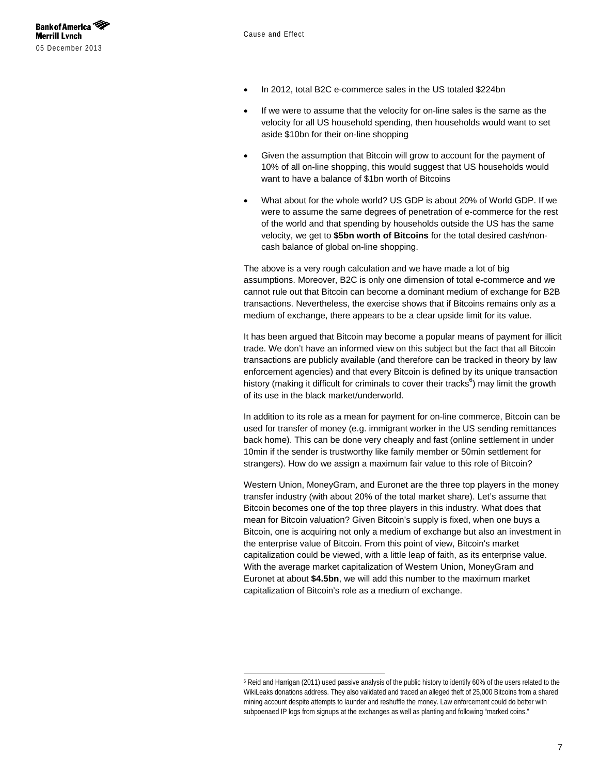

j

- In 2012, total B2C e-commerce sales in the US totaled \$224bn
- If we were to assume that the velocity for on-line sales is the same as the velocity for all US household spending, then households would want to set aside \$10bn for their on-line shopping
- Given the assumption that Bitcoin will grow to account for the payment of 10% of all on-line shopping, this would suggest that US households would want to have a balance of \$1bn worth of Bitcoins
- What about for the whole world? US GDP is about 20% of World GDP. If we were to assume the same degrees of penetration of e-commerce for the rest of the world and that spending by households outside the US has the same velocity, we get to **\$5bn worth of Bitcoins** for the total desired cash/noncash balance of global on-line shopping.

The above is a very rough calculation and we have made a lot of big assumptions. Moreover, B2C is only one dimension of total e-commerce and we cannot rule out that Bitcoin can become a dominant medium of exchange for B2B transactions. Nevertheless, the exercise shows that if Bitcoins remains only as a medium of exchange, there appears to be a clear upside limit for its value.

It has been argued that Bitcoin may become a popular means of payment for illicit trade. We don't have an informed view on this subject but the fact that all Bitcoin transactions are publicly available (and therefore can be tracked in theory by law enforcement agencies) and that every Bitcoin is defined by its unique transaction history (making it difficult for criminals to cover their tracks<sup>6</sup>) may limit the growth of its use in the black market/underworld.

In addition to its role as a mean for payment for on-line commerce, Bitcoin can be used for transfer of money (e.g. immigrant worker in the US sending remittances back home). This can be done very cheaply and fast (online settlement in under 10min if the sender is trustworthy like family member or 50min settlement for strangers). How do we assign a maximum fair value to this role of Bitcoin?

Western Union, MoneyGram, and Euronet are the three top players in the money transfer industry (with about 20% of the total market share). Let's assume that Bitcoin becomes one of the top three players in this industry. What does that mean for Bitcoin valuation? Given Bitcoin's supply is fixed, when one buys a Bitcoin, one is acquiring not only a medium of exchange but also an investment in the enterprise value of Bitcoin. From this point of view, Bitcoin's market capitalization could be viewed, with a little leap of faith, as its enterprise value. With the average market capitalization of Western Union, MoneyGram and Euronet at about **\$4.5bn**, we will add this number to the maximum market capitalization of Bitcoin's role as a medium of exchange.

<sup>6</sup> Reid and Harrigan (2011) used passive analysis of the public history to identify 60% of the users related to the WikiLeaks donations address. They also validated and traced an alleged theft of 25,000 Bitcoins from a shared mining account despite attempts to launder and reshuffle the money. Law enforcement could do better with subpoenaed IP logs from signups at the exchanges as well as planting and following "marked coins."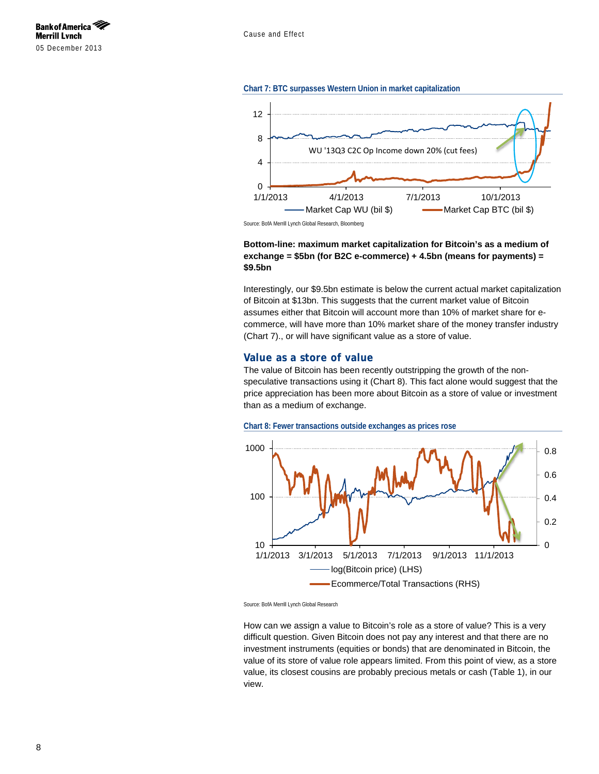

#### <span id="page-7-0"></span>**Chart 7: BTC surpasses Western Union in market capitalization**



Source: BofA Merrill Lynch Global Research, Bloomberg

#### **Bottom-line: maximum market capitalization for Bitcoin's as a medium of exchange = \$5bn (for B2C e-commerce) + 4.5bn (means for payments) = \$9.5bn**

Interestingly, our \$9.5bn estimate is below the current actual market capitalization of Bitcoin at \$13bn. This suggests that the current market value of Bitcoin assumes either that Bitcoin will account more than 10% of market share for ecommerce, will have more than 10% market share of the money transfer industry [\(Chart 7\)](#page-7-0)., or will have significant value as a store of value.

#### **Value as a store of value**

The value of Bitcoin has been recently outstripping the growth of the nonspeculative transactions using it [\(Chart 8\)](#page-7-1). This fact alone would suggest that the price appreciation has been more about Bitcoin as a store of value or investment than as a medium of exchange.

<span id="page-7-1"></span>



Source: BofA Merrill Lynch Global Research

How can we assign a value to Bitcoin's role as a store of value? This is a very difficult question. Given Bitcoin does not pay any interest and that there are no investment instruments (equities or bonds) that are denominated in Bitcoin, the value of its store of value role appears limited. From this point of view, as a store value, its closest cousins are probably precious metals or cash [\(Table 1\)](#page-8-0), in our view.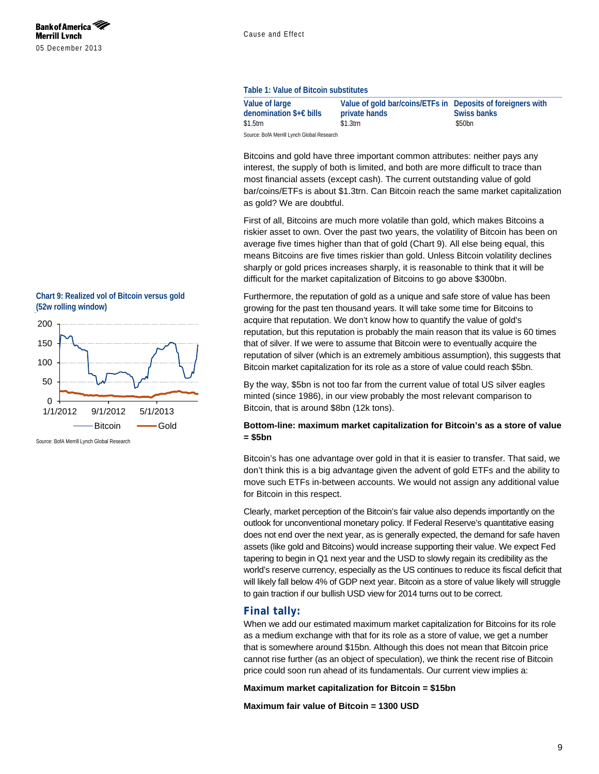#### <span id="page-8-0"></span>**Table 1: Value of Bitcoin substitutes**

| Value of large                              | Value of gold bar/coins/ETFs in Deposits of foreigners with |             |
|---------------------------------------------|-------------------------------------------------------------|-------------|
| denomination $\frac{1}{2} \in \text{bills}$ | private hands                                               | Swiss banks |
| $$1.5$ trn                                  | $$1.3$ trn                                                  | \$50bn      |
| Course: Doff Morrill Lungh Clohol Descorsh  |                                                             |             |

BofA Merrill Lynch Global Rese

Bitcoins and gold have three important common attributes: neither pays any interest, the supply of both is limited, and both are more difficult to trace than most financial assets (except cash). The current outstanding value of gold bar/coins/ETFs is about \$1.3trn. Can Bitcoin reach the same market capitalization as gold? We are doubtful.

First of all, Bitcoins are much more volatile than gold, which makes Bitcoins a riskier asset to own. Over the past two years, the volatility of Bitcoin has been on average five times higher than that of gold [\(Chart 9\)](#page-8-1). All else being equal, this means Bitcoins are five times riskier than gold. Unless Bitcoin volatility declines sharply or gold prices increases sharply, it is reasonable to think that it will be difficult for the market capitalization of Bitcoins to go above \$300bn.

Furthermore, the reputation of gold as a unique and safe store of value has been growing for the past ten thousand years. It will take some time for Bitcoins to acquire that reputation. We don't know how to quantify the value of gold's reputation, but this reputation is probably the main reason that its value is 60 times that of silver. If we were to assume that Bitcoin were to eventually acquire the reputation of silver (which is an extremely ambitious assumption), this suggests that Bitcoin market capitalization for its role as a store of value could reach \$5bn.

By the way, \$5bn is not too far from the current value of total US silver eagles minted (since 1986), in our view probably the most relevant comparison to Bitcoin, that is around \$8bn (12k tons).

#### **Bottom-line: maximum market capitalization for Bitcoin's as a store of value = \$5bn**

Bitcoin's has one advantage over gold in that it is easier to transfer. That said, we don't think this is a big advantage given the advent of gold ETFs and the ability to move such ETFs in-between accounts. We would not assign any additional value for Bitcoin in this respect.

Clearly, market perception of the Bitcoin's fair value also depends importantly on the outlook for unconventional monetary policy. If Federal Reserve's quantitative easing does not end over the next year, as is generally expected, the demand for safe haven assets (like gold and Bitcoins) would increase supporting their value. We expect Fed tapering to begin in Q1 next year and the USD to slowly regain its credibility as the world's reserve currency, especially as the US continues to reduce its fiscal deficit that will likely fall below 4% of GDP next year. Bitcoin as a store of value likely will struggle to gain traction if our bullish USD view for 2014 turns out to be correct.

#### **Final tally:**

When we add our estimated maximum market capitalization for Bitcoins for its role as a medium exchange with that for its role as a store of value, we get a number that is somewhere around \$15bn. Although this does not mean that Bitcoin price cannot rise further (as an object of speculation), we think the recent rise of Bitcoin price could soon run ahead of its fundamentals. Our current view implies a:

**Maximum market capitalization for Bitcoin = \$15bn** 

**Maximum fair value of Bitcoin = 1300 USD**

<span id="page-8-1"></span>**Chart 9: Realized vol of Bitcoin versus gold (52w rolling window)**



Source: BofA Merrill Lynch Global Research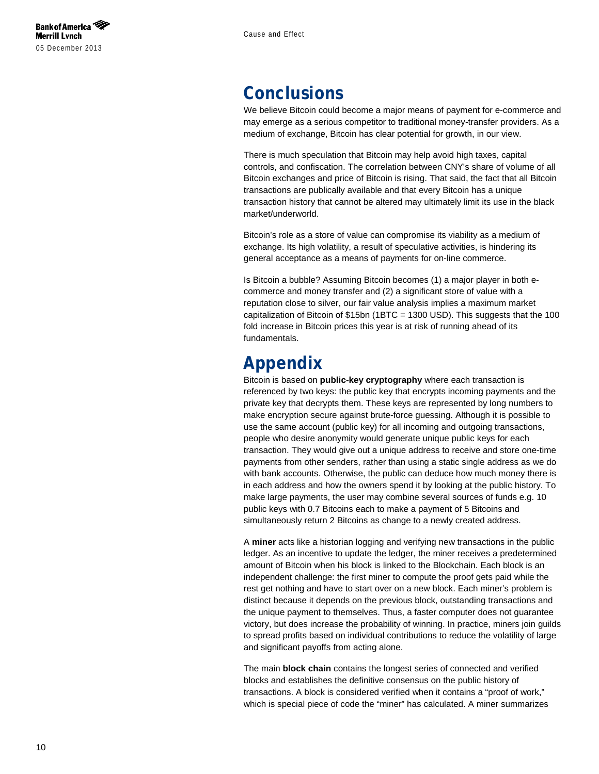### <span id="page-9-0"></span>**Conclusions**

We believe Bitcoin could become a major means of payment for e-commerce and may emerge as a serious competitor to traditional money-transfer providers. As a medium of exchange, Bitcoin has clear potential for growth, in our view.

There is much speculation that Bitcoin may help avoid high taxes, capital controls, and confiscation. The correlation between CNY's share of volume of all Bitcoin exchanges and price of Bitcoin is rising. That said, the fact that all Bitcoin transactions are publically available and that every Bitcoin has a unique transaction history that cannot be altered may ultimately limit its use in the black market/underworld.

Bitcoin's role as a store of value can compromise its viability as a medium of exchange. Its high volatility, a result of speculative activities, is hindering its general acceptance as a means of payments for on-line commerce.

Is Bitcoin a bubble? Assuming Bitcoin becomes (1) a major player in both ecommerce and money transfer and (2) a significant store of value with a reputation close to silver, our fair value analysis implies a maximum market capitalization of Bitcoin of \$15bn (1BTC = 1300 USD). This suggests that the 100 fold increase in Bitcoin prices this year is at risk of running ahead of its fundamentals.

### <span id="page-9-1"></span>**Appendix**

Bitcoin is based on **public-key cryptography** where each transaction is referenced by two keys: the public key that encrypts incoming payments and the private key that decrypts them. These keys are represented by long numbers to make encryption secure against brute-force guessing. Although it is possible to use the same account (public key) for all incoming and outgoing transactions, people who desire anonymity would generate unique public keys for each transaction. They would give out a unique address to receive and store one-time payments from other senders, rather than using a static single address as we do with bank accounts. Otherwise, the public can deduce how much money there is in each address and how the owners spend it by looking at the public history. To make large payments, the user may combine several sources of funds e.g. 10 public keys with 0.7 Bitcoins each to make a payment of 5 Bitcoins and simultaneously return 2 Bitcoins as change to a newly created address.

A **miner** acts like a historian logging and verifying new transactions in the public ledger. As an incentive to update the ledger, the miner receives a predetermined amount of Bitcoin when his block is linked to the Blockchain. Each block is an independent challenge: the first miner to compute the proof gets paid while the rest get nothing and have to start over on a new block. Each miner's problem is distinct because it depends on the previous block, outstanding transactions and the unique payment to themselves. Thus, a faster computer does not guarantee victory, but does increase the probability of winning. In practice, miners join guilds to spread profits based on individual contributions to reduce the volatility of large and significant payoffs from acting alone.

The main **block chain** contains the longest series of connected and verified blocks and establishes the definitive consensus on the public history of transactions. A block is considered verified when it contains a "proof of work," which is special piece of code the "miner" has calculated. A miner summarizes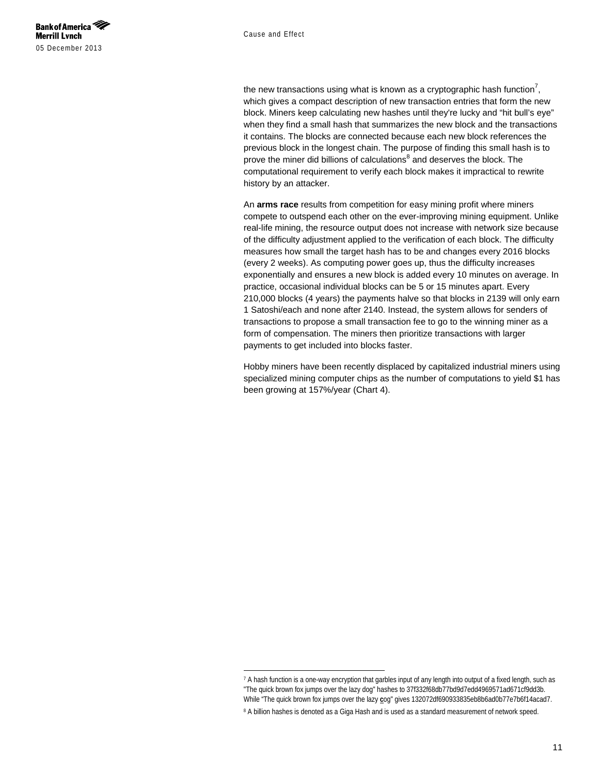

j

the new transactions using what is known as a cryptographic hash function<sup>7</sup>, which gives a compact description of new transaction entries that form the new block. Miners keep calculating new hashes until they're lucky and "hit bull's eye" when they find a small hash that summarizes the new block and the transactions it contains. The blocks are connected because each new block references the previous block in the longest chain. The purpose of finding this small hash is to prove the miner did billions of calculations $<sup>8</sup>$  and deserves the block. The</sup> computational requirement to verify each block makes it impractical to rewrite history by an attacker.

An **arms race** results from competition for easy mining profit where miners compete to outspend each other on the ever-improving mining equipment. Unlike real-life mining, the resource output does not increase with network size because of the difficulty adjustment applied to the verification of each block. The difficulty measures how small the target hash has to be and changes every 2016 blocks (every 2 weeks). As computing power goes up, thus the difficulty increases exponentially and ensures a new block is added every 10 minutes on average. In practice, occasional individual blocks can be 5 or 15 minutes apart. Every 210,000 blocks (4 years) the payments halve so that blocks in 2139 will only earn 1 Satoshi/each and none after 2140. Instead, the system allows for senders of transactions to propose a small transaction fee to go to the winning miner as a form of compensation. The miners then prioritize transactions with larger payments to get included into blocks faster.

Hobby miners have been recently displaced by capitalized industrial miners using specialized mining computer chips as the number of computations to yield \$1 has been growing at 157%/year [\(Chart 4\)](#page-2-1).

<sup>7</sup> A hash function is a one-way encryption that garbles input of any length into output of a fixed length, such as "The quick brown fox jumps over the lazy dog" hashes to 37f332f68db77bd9d7edd4969571ad671cf9dd3b. While "The quick brown fox jumps over the lazy **c**og" gives 132072df690933835eb8b6ad0b77e7b6f14acad7. 8 A billion hashes is denoted as a Giga Hash and is used as a standard measurement of network speed.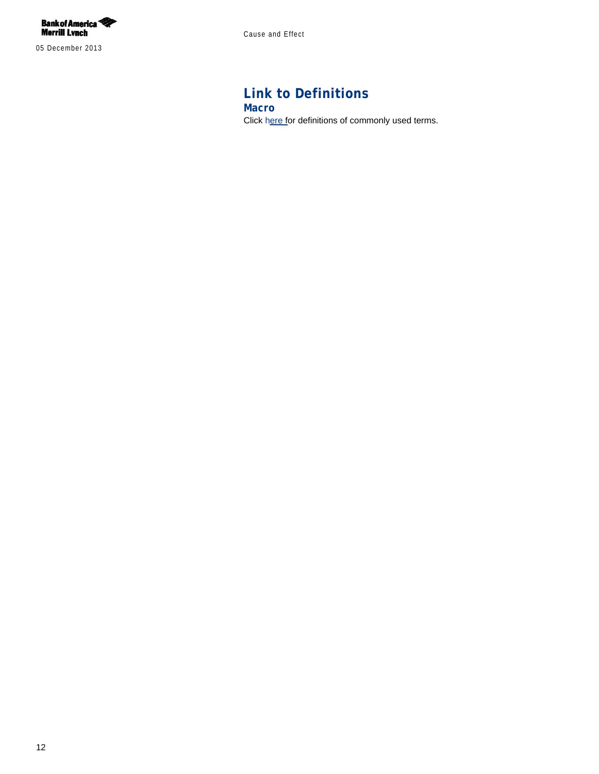

05 December 2013

Cause and Effect

### **Link to Definitions Macro**

Click [here](http://research1.ml.com/C?q=!eRgxBIUeoPsVj-JCTT2ug) for definitions of commonly used terms.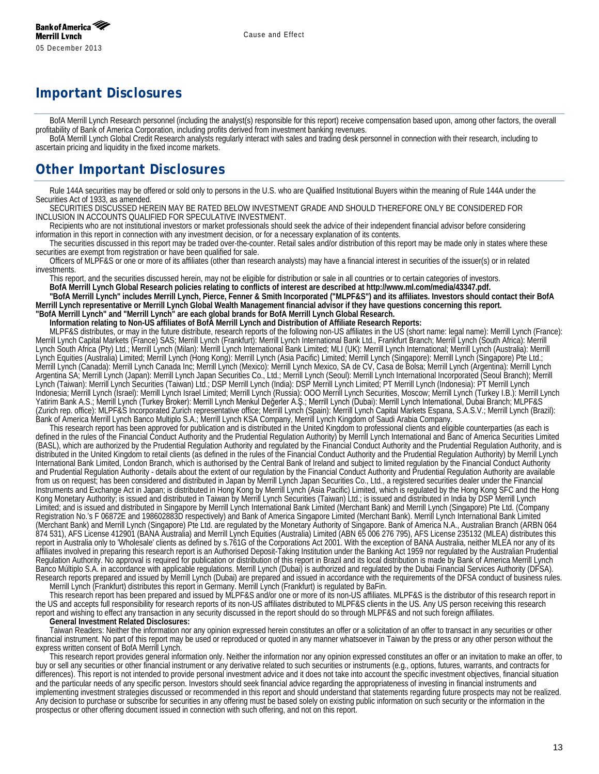## **Important Disclosures**

BofA Merrill Lynch Research personnel (including the analyst(s) responsible for this report) receive compensation based upon, among other factors, the overall profitability of Bank of America Corporation, including profits derived from investment banking revenues.

BofA Merrill Lynch Global Credit Research analysts regularly interact with sales and trading desk personnel in connection with their research, including to ascertain pricing and liquidity in the fixed income markets.

### **Other Important Disclosures**

Rule 144A securities may be offered or sold only to persons in the U.S. who are Qualified Institutional Buyers within the meaning of Rule 144A under the Securities Act of 1933, as amended.

SECURITIES DISCUSSED HEREIN MAY BE RATED BELOW INVESTMENT GRADE AND SHOULD THEREFORE ONLY BE CONSIDERED FOR INCLUSION IN ACCOUNTS QUALIFIED FOR SPECULATIVE INVESTMENT.

Recipients who are not institutional investors or market professionals should seek the advice of their independent financial advisor before considering information in this report in connection with any investment decision, or for a necessary explanation of its contents.

The securities discussed in this report may be traded over-the-counter. Retail sales and/or distribution of this report may be made only in states where these securities are exempt from registration or have been qualified for sale.

Officers of MLPF&S or one or more of its affiliates (other than research analysts) may have a financial interest in securities of the issuer(s) or in related investments.

This report, and the securities discussed herein, may not be eligible for distribution or sale in all countries or to certain categories of investors. **BofA Merrill Lynch Global Research policies relating to conflicts of interest are described at http://www.ml.com/media/43347.pdf.**

**"BofA Merrill Lynch" includes Merrill Lynch, Pierce, Fenner & Smith Incorporated ("MLPF&S") and its affiliates. Investors should contact their BofA Merrill Lynch representative or Merrill Lynch Global Wealth Management financial advisor if they have questions concerning this report. "BofA Merrill Lynch" and "Merrill Lynch" are each global brands for BofA Merrill Lynch Global Research.**

**Information relating to Non-US affiliates of BofA Merrill Lynch and Distribution of Affiliate Research Reports:**

MLPF&S distributes, or may in the future distribute, research reports of the following non-US affiliates in the US (short name: legal name): Merrill Lynch (France): Merrill Lynch Capital Markets (France) SAS; Merrill Lynch (Frankfurt): Merrill Lynch International Bank Ltd., Frankfurt Branch; Merrill Lynch (South Africa): Merrill Lynch South Africa (Pty) Ltd.; Merrill Lynch (Milan): Merrill Lynch International Bank Limited; MLI (UK): Merrill Lynch International; Merrill Lynch (Australia): Merrill Lynch Equities (Australia) Limited; Merrill Lynch (Hong Kong): Merrill Lynch (Asia Pacific) Limited; Merrill Lynch (Singapore): Merrill Lynch (Singapore) Pte Ltd.; Merrill Lynch (Canada): Merrill Lynch Canada Inc; Merrill Lynch (Mexico): Merrill Lynch Mexico, SA de CV, Casa de Bolsa; Merrill Lynch (Argentina): Merrill Lynch Argentina SA; Merrill Lynch (Japan): Merrill Lynch Japan Securities Co., Ltd.; Merrill Lynch (Seoul): Merrill Lynch International Incorporated (Seoul Branch); Merrill Lynch (Taiwan): Merrill Lynch Securities (Taiwan) Ltd.; DSP Merrill Lynch (India): DSP Merrill Lynch Limited; PT Merrill Lynch (Indonesia): PT Merrill Lynch Indonesia; Merrill Lynch (Israel): Merrill Lynch Israel Limited; Merrill Lynch (Russia): OOO Merrill Lynch Securities, Moscow; Merrill Lynch (Turkey I.B.): Merrill Lynch Yatirim Bank A.S.; Merrill Lynch (Turkey Broker): Merrill Lynch Menkul Değerler A.Ş.; Merrill Lynch (Dubai): Merrill Lynch International, Dubai Branch; MLPF&S (Zurich rep. office): MLPF&S Incorporated Zurich representative office; Merrill Lynch (Spain): Merrill Lynch Capital Markets Espana, S.A.S.V.; Merrill Lynch (Brazil): Bank of America Merrill Lynch Banco Multiplo S.A.; Merrill Lynch KSA Company, Merrill Lynch Kingdom of Saudi Arabia Company.

This research report has been approved for publication and is distributed in the United Kingdom to professional clients and eligible counterparties (as each is defined in the rules of the Financial Conduct Authority and the Prudential Regulation Authority) by Merrill Lynch International and Banc of America Securities Limited (BASL), which are authorized by the Prudential Regulation Authority and regulated by the Financial Conduct Authority and the Prudential Regulation Authority, and is distributed in the United Kingdom to retail clients (as defined in the rules of the Financial Conduct Authority and the Prudential Regulation Authority) by Merrill Lynch International Bank Limited, London Branch, which is authorised by the Central Bank of Ireland and subject to limited regulation by the Financial Conduct Authority and Prudential Regulation Authority - details about the extent of our regulation by the Financial Conduct Authority and Prudential Regulation Authority are available from us on request; has been considered and distributed in Japan by Merrill Lynch Japan Securities Co., Ltd., a registered securities dealer under the Financial Instruments and Exchange Act in Japan; is distributed in Hong Kong by Merrill Lynch (Asia Pacific) Limited, which is regulated by the Hong Kong SFC and the Hong Kong Monetary Authority; is issued and distributed in Taiwan by Merrill Lynch Securities (Taiwan) Ltd.; is issued and distributed in India by DSP Merrill Lynch Limited; and is issued and distributed in Singapore by Merrill Lynch International Bank Limited (Merchant Bank) and Merrill Lynch (Singapore) Pte Ltd. (Company Registration No.'s F 06872E and 198602883D respectively) and Bank of America Singapore Limited (Merchant Bank). Merrill Lynch International Bank Limited (Merchant Bank) and Merrill Lynch (Singapore) Pte Ltd. are regulated by the Monetary Authority of Singapore. Bank of America N.A., Australian Branch (ARBN 064 874 531), AFS License 412901 (BANA Australia) and Merrill Lynch Equities (Australia) Limited (ABN 65 006 276 795), AFS License 235132 (MLEA) distributes this report in Australia only to 'Wholesale' clients as defined by s.761G of the Corporations Act 2001. With the exception of BANA Australia, neither MLEA nor any of its affiliates involved in preparing this research report is an Authorised Deposit-Taking Institution under the Banking Act 1959 nor regulated by the Australian Prudential Regulation Authority. No approval is required for publication or distribution of this report in Brazil and its local distribution is made by Bank of America Merrill Lynch Banco Múltiplo S.A. in accordance with applicable regulations. Merrill Lynch (Dubai) is authorized and regulated by the Dubai Financial Services Authority (DFSA). Research reports prepared and issued by Merrill Lynch (Dubai) are prepared and issued in accordance with the requirements of the DFSA conduct of business rules.

Merrill Lynch (Frankfurt) distributes this report in Germany. Merrill Lynch (Frankfurt) is regulated by BaFin.

This research report has been prepared and issued by MLPF&S and/or one or more of its non-US affiliates. MLPF&S is the distributor of this research report in the US and accepts full responsibility for research reports of its non-US affiliates distributed to MLPF&S clients in the US. Any US person receiving this research report and wishing to effect any transaction in any security discussed in the report should do so through MLPF&S and not such foreign affiliates. **General Investment Related Disclosures:**

Taiwan Readers: Neither the information nor any opinion expressed herein constitutes an offer or a solicitation of an offer to transact in any securities or other financial instrument. No part of this report may be used or reproduced or quoted in any manner whatsoever in Taiwan by the press or any other person without the express written consent of BofA Merrill Lynch.

This research report provides general information only. Neither the information nor any opinion expressed constitutes an offer or an invitation to make an offer, to buy or sell any securities or other financial instrument or any derivative related to such securities or instruments (e.g., options, futures, warrants, and contracts for differences). This report is not intended to provide personal investment advice and it does not take into account the specific investment objectives, financial situation and the particular needs of any specific person. Investors should seek financial advice regarding the appropriateness of investing in financial instruments and implementing investment strategies discussed or recommended in this report and should understand that statements regarding future prospects may not be realized. Any decision to purchase or subscribe for securities in any offering must be based solely on existing public information on such security or the information in the prospectus or other offering document issued in connection with such offering, and not on this report.